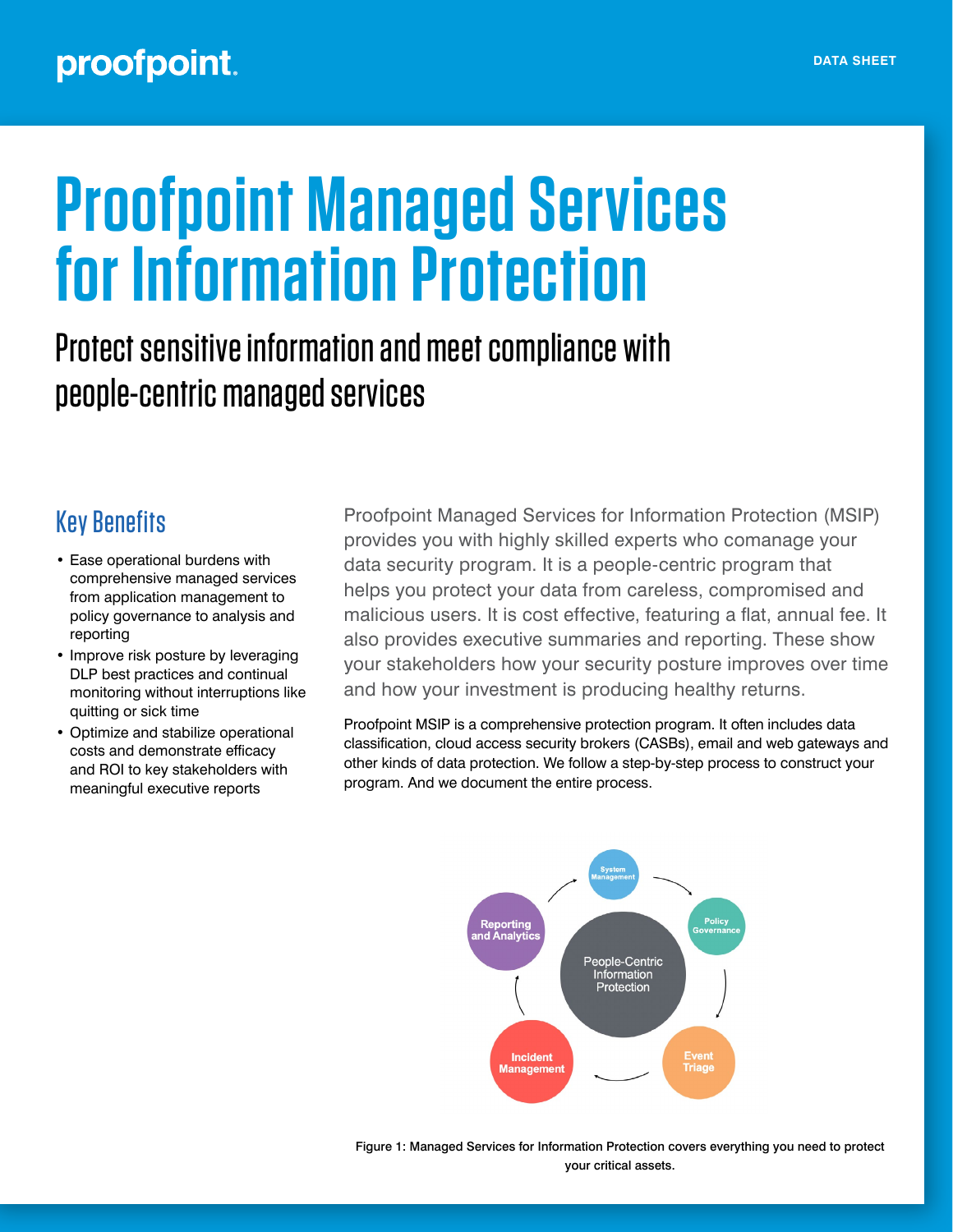## proofpoint.

# **Proofpoint Managed Services for Information Protection**

# Protect sensitive information and meet compliance with people-centric managed services

#### Key Benefits

- Ease operational burdens with comprehensive managed services from application management to policy governance to analysis and reporting
- Improve risk posture by leveraging DLP best practices and continual monitoring without interruptions like quitting or sick time
- Optimize and stabilize operational costs and demonstrate efficacy and ROI to key stakeholders with meaningful executive reports

Proofpoint Managed Services for Information Protection (MSIP) provides you with highly skilled experts who comanage your data security program. It is a people-centric program that helps you protect your data from careless, compromised and malicious users. It is cost effective, featuring a flat, annual fee. It also provides executive summaries and reporting. These show your stakeholders how your security posture improves over time and how your investment is producing healthy returns.

Proofpoint MSIP is a comprehensive protection program. It often includes data classification, cloud access security brokers (CASBs), email and web gateways and other kinds of data protection. We follow a step-by-step process to construct your program. And we document the entire process.



Figure 1: Managed Services for Information Protection covers everything you need to protect your critical assets.